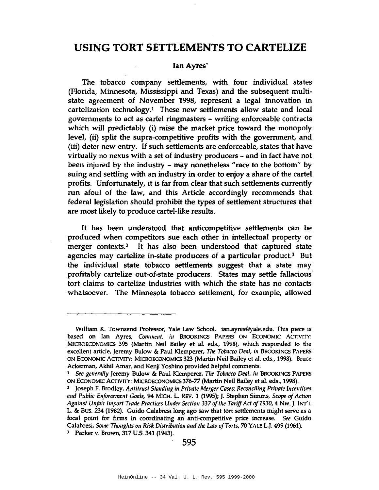# **USING TORT SETTLEMENTS TO CARTELIZE**

## **Ian** Ayres'

The tobacco company settlements, with four individual states (Florida, Minnesota, Mississippi and Texas) and the subsequent multistate agreement of November 1998, represent a legal innovation in cartelization technology.<sup>1</sup> These new settlements allow state and local governments to act as cartel ringmasters - writing enforceable contracts which will predictably (i) raise the market price toward the monopoly level, (ii) split the supra-competitive profits with the government, and (iii) deter new entry. If such settlements are enforceable, states that have virtually no nexus with a set of industry producers - and in fact have not been injured by the industry - may nonetheless "race to the bottom" by suing and settling with an industry in order to enjoy a share of the cartel profits. Unfortunately, it is far from clear that such settlements currently run afoul of the law, and this Article accordingly recommends that federal legislation should prohibit the types of settlement structures that are most likely to produce cartel-like results.

It has been understood that anticompetitive settlements can be produced when competitors sue each other in intellectual property or merger contexts.<sup>2</sup> It has also been understood that captured state agencies may cartelize in-state producers of a particular product.3 But the individual state tobacco settlements suggest that a state may profitably cartelize out-of-state producers. States may settle fallacious' tort claims to cartelize industries with which the state has no contacts whatsoever. The Minnesota tobacco settlement, for example, allowed

William K. Townsend Professor, Yale Law School. ian.ayres@yale.edu. This piece is based on Ian Ayres, *Comment*, *in* BROOKINGS PAPERS ON ECONOMIC ACTIVITY: MICROECONOMICS 395 (Martin Neil Bailey et aI. eds., 1998), which responded to the excellent article, Jeremy Bulow & Paul Klemperer, *Tile Tobacco Deal, ill* BROOKINGS PAPERS ON ECONOMIC ACTIVITY: MICROECONOMICS 323 (Martin Neil Bailey et aI. eds., 1998). Bruce Ackerman, Akhil Amar, and Kenji Yoshino provided helpful comments.

<sup>&</sup>lt;sup>1</sup> See generally Jeremy Bulow & Paul Klemperer, *The Tobacco Deal*, *in* BROOKINGS PAPERS ON EcONOMIC ACTIVITY: MICROECONOMICS 376-77 (Martin Neil Bailey et aI. eds., 1998).

<sup>2</sup> Joseph F. Brodley, *Alltitntst Stalldillg ill Private Merger Coses: Recolldlillg Private fllcelltives* and Public *Enforcement Goals,* 94 MICH. L. REV. 1 (1995); J. Stephen Simms, *Scope of Action Agaillst Ullfair fmport Trade Practices Ullder Sectioll* 337 *oftlle Tariff*Act *0/1930,* 4 NW.]. INT'L L. & BuS. 234 (1982). Guido CaIabresi long ago saw that tort settlements might serve as a focal point for firms in coordinating an anti-competitive price increase. See Guido CaIabresi, *Some TlIoughts Oil Risk Distributioll alld tlle Law a/Torts,* 70 YALE L.]. 499 (1961).

<sup>J</sup> Parker v. Brown, 317 U.S. 341 (1943).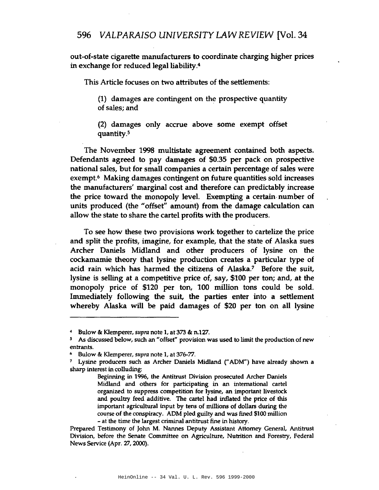out-of-state cigarette manufacturers to coordinate charging higher prices in exchange for reduced legal liability.<sup>4</sup> VALPARAISO UNIVERSITY LAW REVIEN<br>tate cigarette manufacturers to coordinate charging<br>nge for reduced legal liability.<sup>4</sup><br>Article focuses on two attributes of the settlements<br>(1) damages are contingent on the prospective qu

This Article focuses on two attributes of the settlements:

(1) damages are contingent on the prospective quantity

(2) damages only accrue above some exempt offset quantity.<sup>5</sup>

The November 1998 multistate agreement contained both aspects. Defendants agreed to pay damages of \$0.35 per pack on prospective national sales, but for small companies a certain percentage of sales were exempt.6 Making damages conijngent on future quantities sold increases the manufacturers' marginal cost and therefore can predictably increase the price toward the monopoly level. Exempting a certain· number of units produced (the "offset" amount) from the damage calculation can allow the state to share the cartel profits with the producers.

To see how these two provisions work together to cartelize the price and split the profits, imagine, for example, that the state of Alaska sues Archer Daniels Midland and other producers of lysine on the cockamamie theory that lysine production creates a particular type of acid rain which has harmed the citizens of Alaska? Before the suit, lysine is selling at a competitive price of, say, \$100 per ton; and, at the monopoly price of \$120 per ton, 100 million tons could be sold. Immediately following the suit, the parties enter into a settlement whereby Alaska will be paid damages of \$20 per ton on all lysine

Bulow & Klemperer, *supra* note 1, at 373 & n.127.

<sup>5</sup> As discussed below, such an "offset" provision was used to limit the production of new entrants.

*<sup>h</sup>* Bulow & Klemperer, *supra* note 1, at 376-77.

<sup>7</sup> Lysine producers such as Archer Daniels Midland ("ADM") have already shown a sharp interest in colluding:

Beginning in 1996, the Antitrust Division prosecuted Archer Daniels Midland and others for participating in an international cartel organized to suppress competition for lysine, an important livestock and poultry feed additive. The cartel had inflated the price of this important agricultural input by tens of millions of dollars during the course of the conspiracy. ADM pled guilty and was fined \$100 million - at the time the largest criminal antitrust fine in history.

Prepared Testimony of John M. Nannes Deputy Assistant Attorney General, Antitrust Division, before the Senate Committee on Agriculture, Nutrition and Forestry, Federal News Service (Apr. 27, 2000).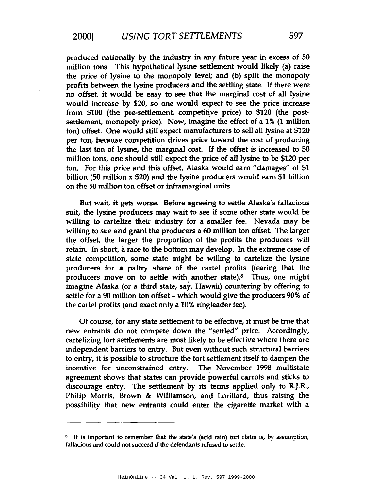produced nationally by the industry in any future year in excess of 50 million tons. This hypothetical lysine settlement would likely (a) raise the price of lysine to the monopoly level; and (b) split the monopoly profits between the lysine producers and the settling state. If there were no offset, it would be easy to see that the marginal cost of all lysine would increase by \$20, so one would expect to see the price increase from \$100 (the pre-settlement, competitive price) to \$120 (the postsettlement, monopoly price). Now, imagine the effect of a 1% (1 million ton) offset. One would still expect manufacturers to sell all lysine at \$120 per ton, because competition drives price toward the cost of producing the last ton of lysine, the marginal cost. If the offset is increased to 50 million tons, one should still expect the price of all lysine to be \$120 per ton. For this price and this offset, Alaska would earn "damages" of \$1 billion (50 million  $x$  \$20) and the lysine producers would earn \$1 billion on the 50 million ton offset or inframarginal units.

But wait, it gets worse. Before agreeing to settle Alaska's fallacious suit, the lysine producers may wait to see if some other state would be willing to cartelize their industry for a smaller fee. Nevada may be willing to sue and grant the producers a 60 million ton offset. The larger the offset, the larger the proportion of the profits the producers will retain. In short, a race to the bottom may develop. In the extreme case of state competition, some state might be willing to cartelize the lysine producers for a paltry share of the cartel profits (fearing that the producers move on to settle with another state).<sup>8</sup> Thus, one might imagine Alaska (or a third state, say, Hawaii) countering by offering to settle for a 90 million ton offset - which would give the producers 90% of the cartel profits (and exact only a 10% ringleader fee).

Of course, for any state settlement to be effective, it must be true that new entrants do not compete down the "settled" price. Accordingly, cartelizing tort settlements are most likely to be effective where there are independent barriers to entry. But even without such structural barriers to entry, it is possible to structure the tort settlement itself to dampen the incentive for unconstrained entry. The November 1998 multistate agreement shows that states can provide powerful carrots and sticks to discourage entry. The settlement by its terms applied only to R.J.R., Philip Morris, Brown & Williamson, and Lorillard, thus raising the possibility that new entrants could enter the cigarette market with a

<sup>&</sup>lt;sup>8</sup> It is important to remember that the state's (acid rain) tort claim is, by assumption, fallacious and could not succeed if the defendants refused to settle.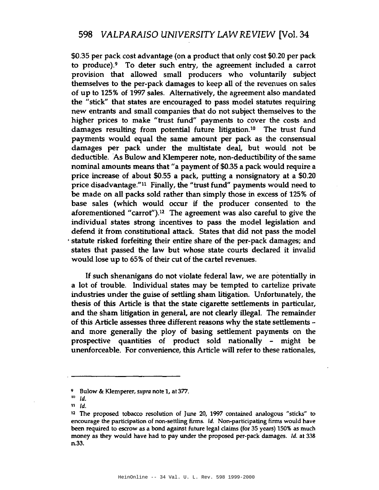\$0.35 per pack cost advantage (on a product that only cost \$0.20 per pack to produce).9 To deter such entry, the agreement included a carrot provision that allowed small producers who voluntarily subject themselves to the per-pack damages to keep all of the revenues on sales of up to 125% of 1997 sales. Alternatively, the agreement also mandated the "stick" that states are encouraged to pass model statutes requiring new entrants and small companies that do not subject themselves to the higher prices to make "trust fund" payments to cover the costs and damages resulting from potential future litigation.<sup>10</sup> The trust fund payments would equal the same amount per pack as the consensual damages per pack under the multistate deal, but would not be deductible. As Bulow and Klemperer note, non-deductibility of the same nominal amounts means that"a payment of \$0.35 a pack would require a price increase of about \$0.55 a pack, putting a nonsignatory at a \$0.20 price disadvantage."<sup>11</sup> Finally, the "trust fund" payments would need to be made on all packs sold rather than simply those in excess of 125% of base sales (which would occur if the producer consented to the aforementioned "carrot").<sup>12</sup> The agreement was also careful to give the individual states strong incentives to pass the model legislation and defend it from constitutional attack. States that did not pass the model , statute risked forfeiting their entire share of the per-pack damages; and states that passed the law but whose state courts declared it invalid would lose up to 65% of their cut of the cartel revenues.

If such shenanigans do not violate federal law, we are potentially in a lot of trouble. Individual states may be tempted to cartelize private industries under the guise of settling sham litigation. Unfortunately, the thesis of this Article is that the state cigarette settlements in particular, and the sham litigation in general, are not clearly illegal. The remainder of this Article assesses three different reasons why the state settlements and more generally the ploy of basing settlement payments on the prospective quantities of product sold nationally - might be unenforceable. For convenience, this Article will refer to these rationales,

<sup>&</sup>lt;sup>9</sup> Bulow & Klemperer, supra note 1, at 377.

<sup>10</sup> Id.

<sup>11</sup> Id.

<sup>12</sup> The proposed tobacco resolution of June 20, 1997 contained analogous "sticks" to encourage the participation of non-settling firms. Id. Non-participating firms would have been required to escrow as a bond against future legal claims (for 35 years) 150% as much money as they would have had to pay under the proposed per-pack damages. Id. at 338 n.33.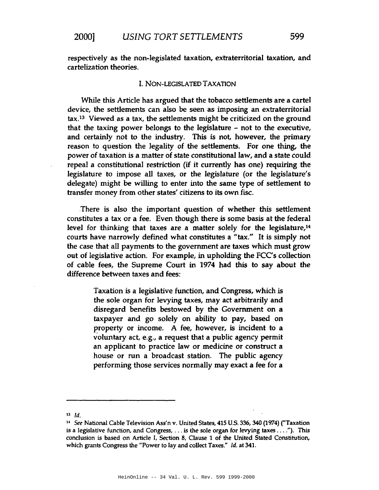respectively as the non-legislated taxation, extraterritorial taxation, and cartelization theories.

### I. NON-LEGISLATED TAXATION

While this Article has argued that the tobacco settlements are a cartel device, the settlements can also be seen as imposing an extraterritorial tax,13 Viewed as a tax, the settlements might be criticized on the ground that the taxing power belongs to the legislature - not to the executive, and certainly not to the industry. This is not, however, the primary reason to question the legality of the settlements. For one thing, the power of taxation is a matter of state constitutional law, and a state could repeal a constitutional restriction (if it currently has one) requiring the legislature to impose all taxes, or the legislature (or the legislature's delegate) might be willing to enter into the same type of settlement to transfer money from other states' citizens to its own fisc.

There is also the important question of whether this settlement constitutes a tax or a fee. Even though there is some basis at the federal level for thinking that taxes are a matter solely for the legislature,<sup>14</sup> courts have narrowly defined what constitutes a "tax." It is simply not the case that all payments to the government are taxes which must grow out of legislative action. For example, in upholding the FCC's collection of cable fees, the Supreme Court in 1974 had this to say about the difference between taxes and fees:

> Taxation is a legislative function, and Congress, which is the sole organ for levying taxes, may act arbitrarily and disregard benefits bestowed by the Government on a taxpayer and go solely on ability to pay, based on property or income. A fee, however, is incident to a voluntary act, e.g., a request that a public agency permit an applicant to practice law or medicine or construct a house or run a broadcast station. The public agency performing those services normally may exact a fee for a

 $13$   $Id.$ 

<sup>&</sup>lt;sup>14</sup> See National Cable Television Ass'n v. United States, 415 U.S. 336, 340 (1974) ("Taxation is a legislative function, and Congress, ... is the sole organ for levying taxes ...."). This conclusion is based on Article I, Section 8, Clause 1 of the United Stated Constitution, which grants Congress the "Power to lay and collect Taxes." Id. at 341.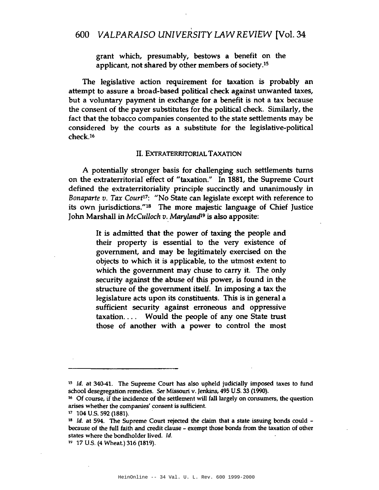grant which, presumably, bestows a benefit on the applicant, not shared by other members of society.IS

The legislative action requirement for taxation is probably an attempt to assure a broad-based political check against unwanted taxes, but a voluntary payment in exchange for a benefit is not a tax because the consent of the payer substitutes for the political check. Similarly, the fact that the tobacco companies consented to the state settlements may be considered by the courts as a substitute for the legislative-political check.16

#### II. EXTRATERRITORIAL TAXATION

A potentially stronger basis for challenging such settlements turns on the extraterritorial effect of "taxation." In 1881, the Supreme Court defined the extraterritoriality principle succinctly and unanimously in *Bonaparte v. Tax Courtl7:* "No State can legislate except with reference to its own jurisdictions."ls The more majestic language of Chief Justice John Marshall in *McCulloch v,. Marylandl*<sup>9</sup> is also apposite:

> It is admitted that the power of taxing the people and their property is essential to the very existence of government, and may be legitimately exercised on the objects to which it is applicable, to the utmost extent to which the government may chuse to carry it. The only security against the abuse of this power, is found in the structure of the government itself. In imposing a tax the legislature acts upon its constituents. This is in general a sufficient security against erroneous and oppressive taxation.... Would the people of any one State trust those of another with a power to control the most

*<sup>15</sup>* Id. at 340-41. The Supreme Court has also upheld judicially imposed taxes to fund school desegregation remedies. See Missouri v. Jenkins, 495 U.S. 33 (1990).

<sup>16</sup> Of course, if the incidence of the settlement will fall largely on consumers, the question arises whether the companies' consent is sufficient.

 $17$  104 U.S. 592 (1881).

<sup>&</sup>lt;sup>18</sup> *ld.* at 594. The Supreme Court rejected the claim that a state issuing bonds could because of the full faith and credit clause - exempt those bonds from the taxation of other states where the bondholder lived. Id.

<sup>19</sup> 17 U.S. (4 Wheat.) 316 (1819).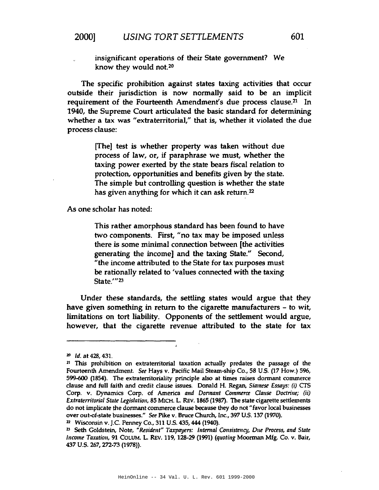insignificant operations of their State government? We know they would not.<sup>20</sup>

The specific prohibition against states taxing activities that occur outside their jurisdiction is now normally said to be an implicit requirement of the Fourteenth Amendment's due process clause.<sup>21</sup> In 1940, the Supreme Court articulated the basic standard for determining whether a tax was "extraterritorial," that is, whether it violated the due process clause:

> [[he] test is whether property was taken without due process of law, or, if paraphrase we must, whether the taxing power exerted by the state bears fiscal relation to protection, opportunities and benefits given by the state. The simple but controlling question is whether the state has given anything for which it can ask retum.22

As one scholar has noted:

This rather amorphous standard has been found to have two components. First, "no tax may be imposed unless there is some minimal connection between [the activities generating the income] and the taxing State." Second, "the income attributed to the State for tax purposes must be rationally related to 'values connected with the taxing State.'"<sup>23</sup>

Under these standards, the settling states would argue that they have given something in return to the cigarette manufacturers - to wit, limitations on tort liability. Opponents of the settlement would argue, however, that the cigarette revenue attributed to the state for tax

<sup>20</sup> Id. at 428, 431.

<sup>21</sup> This prohibition on extraterritorial taxation actually predates the passage of the Fourteenth Amendment. *See* Hays v. Pacific Mail Steam-ship Co., 58 U.S. (17 How.) 596, 599-600 (1854). The extraterritoriality principle also at times raises dormant commerce clause and full faith and credit clause issues. Donald H. Regan, *Siamese Essays: (i)* CTS Corp. v. Dynamics Corp. of America *and Donnant Commerce Dause Doctrine;* (ii) *Extraterritorial State Legislation,* 85 MICH. L. REV. 1865 (1987). The state cigarette settlements do not implicate the dormant commerce clause because they do not "favor local businesses over out-of-state businesses." See Pike v. Bruce Church, Inc., 397 U.S. 137 (1970).

<sup>&</sup>lt;sup>22</sup> Wisconsin v. J.C. Penney Co., 311 U.S. 435, 444 (1940).

<sup>2</sup>J Seth Goldstein, Note, *"Resident" Taxpayers: Intenlal Consistency, Due Process, and State Income Taxatioll,* 91 COLUM. L. REV. 119, 128-29 (1991) *(quoting* Moorman Mfg. Co. v. Bair, 437 U.S. 267, 272-73 (1978)).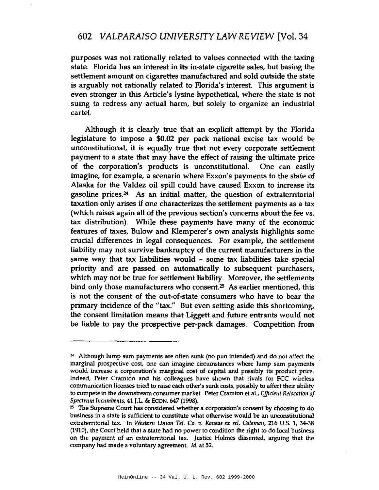purposes was not rationally related to values connected with the taxing state. Florida has an interest in its in-state cigarette sales, but basing the settlement amount on cigarettes manufactured and sold outside the state is arguably not rationally related to Florida's interest. This argument is even stronger in this Article's lysine hypothetical, where the state is not suing to redress any actual harm, but solely to organize an industrial cartel.

Although it is clearly true that an explicit attempt by the Florida legislature to impose a \$0.02 per pack national excise tax would be unconstitutional, it is equally true that not every corporate settlement payment to a state that may have the effect of raising the ultimate price of the corporation's products is unconstitutional. One can easily imagine, for example, a scenario where Exxon's payments to the state of Alaska for the Valdez oil spill could have caused Exxon to increase its gasoline prices.24 As an initial matter, the question of extraterritorial taxation only arises if one characterizes the settlement payments as a tax (which raises again all of the previous section's concerns about the fee vs. tax distribution). While these payments have many of the economic features of taxes, Bulow and Klemperer's own analysis highlights some crucial differences in legal consequences. For example, the settlement liability may not survive bankruptcy of the current manufacturers in the same way that tax liabilities would - some tax liabilities take special priority and are passed on automatically to subsequent purchasers, which may not be true for settlement liability. Moreover, the settlements bind only those manufacturers who consent.<sup>25</sup> As earlier mentioned, this is not the consent of the out-of-state consumers who have to bear the primary incidence of the "tax." But even setting aside this shortcoming, the consent limitation means that Liggett and future entrants would not be liable to pay the prospective per-pack damages. Competition from

<sup>2&</sup>lt; Although lump sum payments are often sunk (no pun intended) and do not affect the marginal prospective cost, one can imagine circumstances where lump sum payments would increase a corporation's marginal cost of capital and possibly its product price. Indeed, Peter Cramton and his colleagues have shown that rivals for FCC wireless communication licenses tried to raise each other's sunk costs, possibly to affect their ability to compete in the downstream consumer market. Peter Cramton et al., *Effideut Relocation of SpectnllnlnClllllbents,* 41 J.L. & ECON. 647 (1998). .

<sup>&</sup>lt;sup>25</sup> The Supreme Court has considered whether a corporation's consent by choosing to do business in a state is sufficient to constitute what otherwise would be an unconstitutional extraterritorial tax. In *Westem Ullion Tel.* Co. *v. Kausas ex reI. Coleman,* 216 U.S. 1, 34-38 (1910), the Court held that a state had no power to condition the right to do local business on the payment of an extraterritorial tax. Justice Holmes dissented, arguing that the company had made a voluntary agreement. Id. at 52.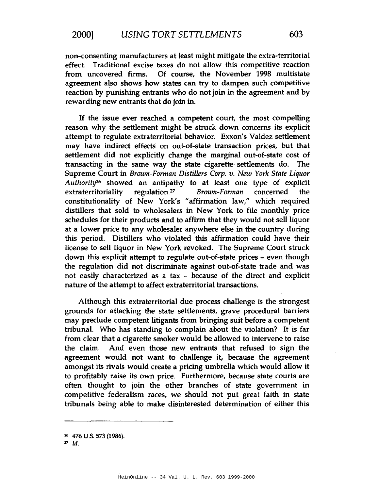non-consenting manufacturers at least might mitigate the extra-territorial effect. Traditional excise taxes do not allow this competitive reaction from uncovered firms. Of course, the November 1998 multistate agreement also shows how states can try to dampen such competitive reaction by punishing entrants who do not join in the agreement and by rewarding new entrants that do join in.

If the issue ever reached a competent court, the most compelling reason why the settlement might be struck down concerns its explicit attempt to regulate extraterritorial behavior. Exxon's Valdez settlement may have indirect effects on out-of-state transaction prices, but that settlement did not explicitly change the marginal out-of-state cost of transacting in the same way the state cigarette· settlements do. The Supreme Court in *Brown-Forman Distillers Corp. v. New York State Liquor Authority2h* showed an antipathy to at least one type of explicit extraterritoriality regulation. <sup>27</sup> *Brown-Forman* concerned the constitutionality of New York's "affirmation law," which required distillers that sold to wholesalers in New York to file monthly price schedules for their products and to affirm that they would not sell liquor at a lower price to any wholesaler anywhere else in the country during this period. Distillers who violated this affirmation could have their license to sell liquor in New York revoked. The Supreme Court struck down this explicit attempt to regulate out-of-state prices - even though the regulation did not discriminate against out-of-state trade and was not easily characterized as a tax - because of the direct and explicit nature of the attempt to affect extraterritorial transactions.

Although this extraterritorial due process challenge is the strongest grounds for attacking the state settlements, grave procedural barriers may preclude competent litigants from bringing suit before a competent tribunal. Who has standing to complain about the violation? It is far from clear that a cigarette smoker would be allowed to intervene to raise the claim. And even those new entrants that refused to sign the agreement would not want to challenge it, because the agreement amongst its rivals would create a pricing umbrella which would allow it to profitably raise its own price. Furthermore, because state courts are often thought to join the other branches of state government in competitive federalism races, we should not put great faith in state tribunals being able to make disinterested determination of either this

<sup>26</sup> 476 U.S. 573 (1986).

 $z<sub>1d</sub>$ .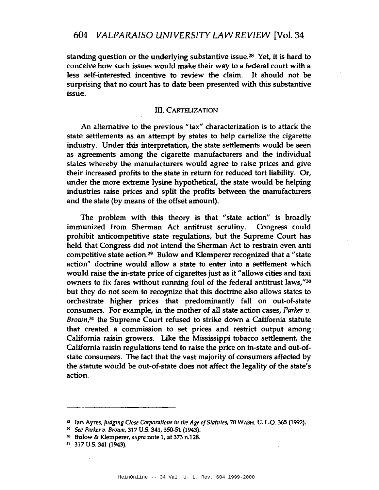standing question or the underlying substantive issue.<sup>28</sup> Yet, it is hard to conceive how such issues would make their way to a federal court with a less self-interested incentive to review the claim. It should not be surprising that no court has to date been presented with this substantive issue.

## III. CARTELIZATION

An alternative to the previous "tax" characterization is to attack the state settlements as an attempt by states to help cartelize the cigarette industry. Under this interpretation, the state settlements would be seen as agreements among the cigarette manufacturers and the individual states whereby the manufacturers would agree to raise prices and give their increased profits to the state in return for reduced tort liability. Or, under the more extreme lysine hypothetical, the state would be helping industries raise prices and split the profits between the manufacturers and the state (by means of the offset amount).

The problem with this theory is that "state action" is broadly immunized from Sherman Act antitrust scrutiny. Congress could prohibit anticompetitive state regulations, but the Supreme Court has held that Congress did not intend the Sherman Act to restrain even anti competitive state action.29 Bulow and KIemperer recognized that a "state action" doctrine would allow a state to enter into a settlement which would raise the in-state price of cigarettes just as it "allows cities and taxi owners to fix fares without running foul of the federal antitrust laws,"30 . but they do not seem to recognize that this doctrine also allows states to orchestrate higher prices that predominantly fall on out-of-state consumers. For example, in the mother of all state action cases, *Parker v.* Brown,<sup>31</sup> the Supreme Court refused to strike down a California statute that created a commission to set prices and restrict output among California raisin growers. Like the Mississippi tobacco settlement, the California raisin regulations tend to raise the price on in-state and out-ofstate consumers. The fact that the vast majority of consumers affected by the statute would be out-of-state does not affect the legality of the state's action.

<sup>&</sup>lt;sup>28</sup> Ian Ayres, *Judging Close Corporations* in the Age of Statutes, 70 WASH. U. L.Q. 365 (1992).

*<sup>29</sup> See Parker v. BrowII,* 317 U.s. 341, 350-51 (1943).

<sup>:10</sup> Bulow & Klemperer, *supra* note 1, at 373 n.128.

<sup>31</sup> 317 U.S. 341 (1943).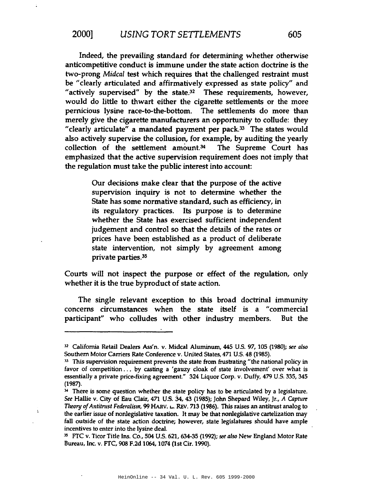Indeed, the prevailing standard for determining whether otherwise anticompetitive conduct is immune under the state action doctrine is the two-prong *Midcal* test which requires that the challenged restraint must be "clearly articulated and affirmatively expressed as state policy" and "actively supervised" by the state.<sup>32</sup> These requirements, however, would do little to thwart either the cigarette settlements or the more pernicious lysine race-to-the-bottom. The settlements do more than merely give the cigarette manufacturers an opportunity to collude: they "clearly articulate" a mandated payment per pack. $33$  The states would also actively supervise the collusion, for example, by auditing the yearly collection of the settlement amount. $34$  The Supreme Court has emphasized that the active supervision requirement does not imply that the regulation must take the public interest into account:

> Our decisions make clear that the purpose of the active supervision inquiry is not to determine whether the State has some normative standard, such as efficiency, in its regulatory practices. Its purpose is to determine whether the State has exercised sufficient independent judgement and control so that the details of the rates or prices have been established as a product of deliberate state intervention, not simply by agreement among private parties.35

Courts will not inspect the purpose or effect of the regulation, only whether it is the true byproduct of state action.

The single relevant exception to this broad doctrinal immunity concerns circumstances when the state itself is a "commercial participant" who colludes with other industry members. But the

Ł

<sup>32</sup> California Retail Dealers Ass'n. v. Midcal Aluminum, 445 U.S. 97, 105 (1980); *see also* Southern Motor Carriers Rate Conference v. United States, 471 U.S. 48 (1985).

 $<sup>33</sup>$  This supervision requirement prevents the state from frustrating "the national policy in</sup> favor of competition . . . by casting a 'gauzy cloak of state involvement' over what is essentially a private price-fixing agreement." 324 Liquor Corp. v. Duffy, 479 U.S. 335, 345 (1987).

 $34$  There is some question whether the state policy has to be articulated by a legislature. *See* Hallie v. City of Eau Clair, 471 U.S. 34,43 (1985); John Shepard Wiley, Jr., A *Capture Theory ofAntitmst Federalism,* 99 HARV. L.. REv. 713 (1986). This raises an antitrust analog to the earlier issue of nonlegislative taxation. It may be that nonlegislative cartelization may fall outside of the state action doctrine; however, state legislatures should have ample incentives to enter into the lysine deal.

<sup>15</sup> FTC v. Ticor Title Ins. Co., 504 U.S. 621,634-35 (1992); *see also* New England Motor Rate Bureau, Inc. v. FTC, 908 F.2d 1064, 1074 (1st Cir. 1990).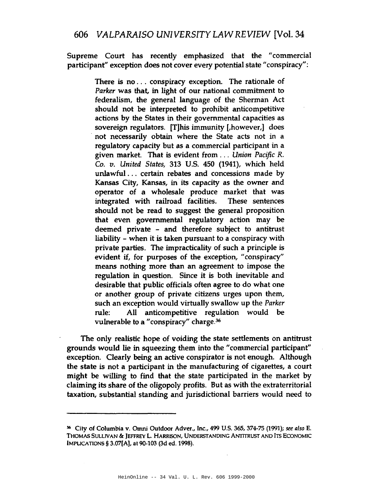Supreme Court has recently emphasized that the "commercial participant" exception does not cover every potential state "conspiracy":

> There is no ... conspiracy exception. The rationale of *Parker* was that, in light of our national commitment to federalism, the general language of the Sherman Act should not be interpreted to prohibit anticompetitive actions by the States in their governmental capacities as sovereign regulators. [T]his immunity [,however,] does . not necessarily obtain where the State acts not in a regulatory capacity but as a commercial participant in a given market. That is evident from. . . *Union Pacific* R. *Co. v. United States,* 313 U.S. 450 (1941), which held unlawful ... certain rebates and concessions made by Kansas City, Kansas, in its capacity as the owner and operator of a wholesale produce market that was integrated with railroad facilities. These sentences should not be read to suggest the general proposition that even governmental regulatory action may be deemed private - and therefore subject to antitrust liability - when it is taken pursuant to a conspiracy with private parties. The impracticality of such a principle is evident if, for purposes of the exception, "conspiracy" means nothing more than an agreement to impose the regulation in question. Since it is both inevitable and desirable that public officials often agree to do what one or another group of private citizens urges upon them, such an exception would virtually swallow up the *Parker* rule: All anticompetitive regulation would be vulnerable to a "conspiracy" charge.<sup>36</sup>

The only realistic hope of voiding the state settlements on antitrust grounds would lie in squeezing them into the "commercial participant" exception. Clearly being an active conspirator is not enough. Although the state is not a participant in the manufacturing of cigarettes, a court might be willing to find that the state participated in the market by claiming its share of the oligopoly profits. But as with the extraterritorial taxation, substantial standing and jurisdictional barriers would need to

<sup>16</sup> City of Columbia v. Omni Outdoor Adver., Inc., 499 U.S. 365, 374-75 (1991); *see also* E. THOMAS SULLIVAN & JEFFREY L. HARRISON, UNDERSTANDING ANTITRUST AND ITS ECONOMIC IMPUCATIONS § 3.07[A), at 90-103 (3d ed. 1998).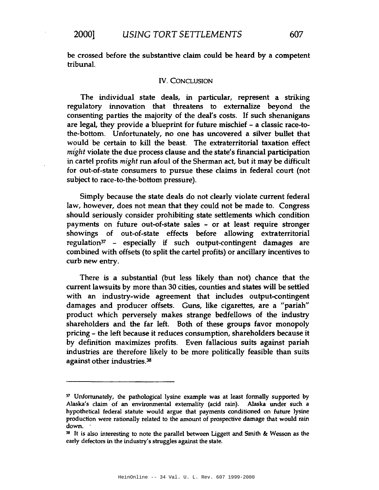be crossed before the substantive claim could be heard by a competent tribunal.

#### IV. CONCLUSION

The individual state deals, in particular, represent a striking regulatory innovation that threatens to externalize beyond the consenting parties the majority of the deal's costs. If such shenanigans are legal, they provide a blueprint for future mischief - a classic race-tothe-bottom. Unfortunately, no one has uncovered a silver bullet that would be certain to kill the beast. The extraterritorial taxation effect *might* violate the due process clause and the state's financial participation in cartel profits *might* run afoul of the Sherman act, but it may be difficult for out-of-state consumers to pursue these claims in federal court (not subject to race-to-the-bottom pressure).

Simply because the state deals do not clearly violate current federal law, however, does not mean that they could not be made to. Congress should seriously consider prohibiting state settlements which condition payments on future out-of-state sales - or at least require stronger showings of out-of-state effects before allowing extraterritorial regulation<sup>37</sup> - especially if such output-contingent damages are combined with offsets (to split the cartel profits) or ancillary incentives to curb new entry.

There is a substantial (but less likely than not) chance that the current lawsuits by more than 30 cities, counties and states will be settled with an industry-wide agreement that includes output-contingent damages and producer offsets. Guns, like cigarettes, are a "pariah" product which perversely makes strange bedfellows of the industry shareholders and the far left. Both of these groups favor monopoly pricing - the left because it reduces consumption, shareholders because it by definition maximizes profits. Even fallacious suits against pariah industries are therefore likely to be more politically feasible than suits against other industries.<sup>38</sup>

<sup>&</sup>lt;sup>37</sup> Unfortunately, the pathological lysine example was at least formally supported by Alaska's claim of an environmental externality (acid rain). Alaska under such a hypothetical federal statute would argue that payments conditioned on future lysine production were rationally related to the amount of prospective damage that would rain down. .

 $38$  It is also interesting to note the parallel between Liggett and Smith &: Wesson as the early defectors in the industry's struggles against the state.